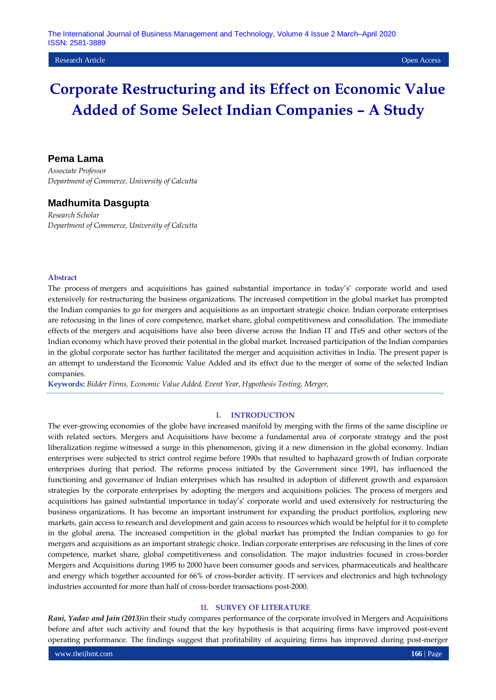#### **Research Article Open Access Open Access Open Access Open Access Open Access Open Access Open Access Open Access**

# **Corporate Restructuring and its Effect on Economic Value Added of Some Select Indian Companies – A Study**

## **Pema Lama**

*Associate Professor Department of Commerce, University of Calcutta*

## **Madhumita Dasgupta**

*Research Scholar Department of Commerce, University of Calcutta*

## **Abstract**

The process of mergers and acquisitions has gained substantial importance in today's' corporate world and used extensively for restructuring the business organizations. The increased competition in the global market has prompted the Indian companies to go for mergers and acquisitions as an important strategic choice. Indian corporate enterprises are refocusing in the lines of core competence, market share, global competitiveness and consolidation. The immediate effects of the mergers and acquisitions have also been diverse across the Indian IT and ITeS and other sectors of the Indian economy which have proved their potential in the global market. Increased participation of the Indian companies in the global corporate sector has further facilitated the merger and acquisition activities in India. The present paper is an attempt to understand the Economic Value Added and its effect due to the merger of some of the selected Indian companies.

**Keywords:** *Bidder Firms, Economic Value Added, Event Year, Hypothesis Testing, Merger,* 

#### **I. INTRODUCTION**

The ever-growing economies of the globe have increased manifold by merging with the firms of the same discipline or with related sectors. Mergers and Acquisitions have become a fundamental area of corporate strategy and the post liberalization regime witnessed a surge in this phenomenon, giving it a new dimension in the global economy. Indian enterprises were subjected to strict control regime before 1990s that resulted to haphazard growth of Indian corporate enterprises during that period. The reforms process initiated by the Government since 1991, has influenced the functioning and governance of Indian enterprises which has resulted in adoption of different growth and expansion strategies by the corporate enterprises by adopting the mergers and acquisitions policies. The process of mergers and acquisitions has gained substantial importance in today's' corporate world and used extensively for restructuring the business organizations. It has become an important instrument for expanding the product portfolios, exploring new markets, gain access to research and development and gain access to resources which would be helpful for it to complete in the global arena. The increased competition in the global market has prompted the Indian companies to go for mergers and acquisitions as an important strategic choice. Indian corporate enterprises are refocusing in the lines of core competence, market share, global competitiveness and consolidation. The major industries focused in cross-border Mergers and Acquisitions during 1995 to 2000 have been consumer goods and services, pharmaceuticals and healthcare and energy which together accounted for 66% of cross-border activity. IT services and electronics and high technology industries accounted for more than half of cross-border transactions post-2000.

## **II. SURVEY OF LITERATURE**

*Rani, Yadav and Jain (2013)*in their study compares performance of the corporate involved in Mergers and Acquisitions before and after such activity and found that the key hypothesis is that acquiring firms have improved post-event operating performance. The findings suggest that profitability of acquiring firms has improved during post-merger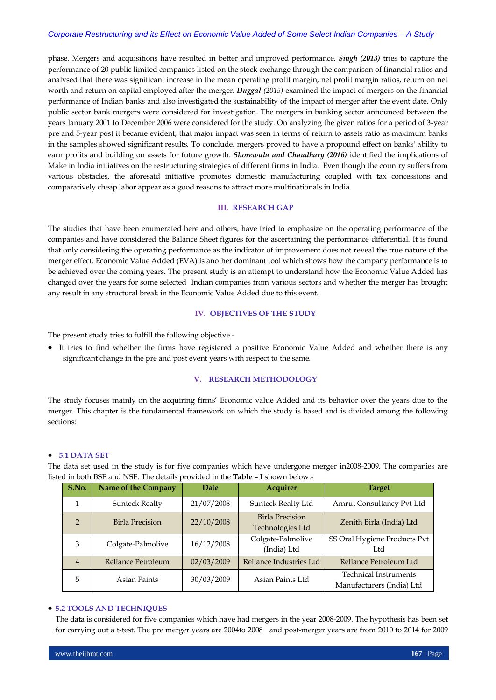### *Corporate Restructuring and its Effect on Economic Value Added of Some Select Indian Companies – A Study*

phase. Mergers and acquisitions have resulted in better and improved performance. *Singh (2013)* tries to capture the performance of 20 public limited companies listed on the stock exchange through the comparison of financial ratios and analysed that there was significant increase in the mean operating profit margin, net profit margin ratios, return on net worth and return on capital employed after the merger. *Duggal (2015)* examined the impact of mergers on the financial performance of Indian banks and also investigated the sustainability of the impact of merger after the event date. Only public sector bank mergers were considered for investigation. The mergers in banking sector announced between the years January 2001 to December 2006 were considered for the study. On analyzing the given ratios for a period of 3-year pre and 5-year post it became evident, that major impact was seen in terms of return to assets ratio as maximum banks in the samples showed significant results. To conclude, mergers proved to have a propound effect on banks' ability to earn profits and building on assets for future growth. *Shorewala and Chaudhary (2016)* identified the implications of Make in India initiatives on the restructuring strategies of different firms in India. Even though the country suffers from various obstacles, the aforesaid initiative promotes domestic manufacturing coupled with tax concessions and comparatively cheap labor appear as a good reasons to attract more multinationals in India.

## **III. RESEARCH GAP**

The studies that have been enumerated here and others, have tried to emphasize on the operating performance of the companies and have considered the Balance Sheet figures for the ascertaining the performance differential. It is found that only considering the operating performance as the indicator of improvement does not reveal the true nature of the merger effect. Economic Value Added (EVA) is another dominant tool which shows how the company performance is to be achieved over the coming years. The present study is an attempt to understand how the Economic Value Added has changed over the years for some selected Indian companies from various sectors and whether the merger has brought any result in any structural break in the Economic Value Added due to this event.

## **IV. OBJECTIVES OF THE STUDY**

The present study tries to fulfill the following objective -

 It tries to find whether the firms have registered a positive Economic Value Added and whether there is any significant change in the pre and post event years with respect to the same.

## **V. RESEARCH METHODOLOGY**

The study focuses mainly on the acquiring firms' Economic value Added and its behavior over the years due to the merger. This chapter is the fundamental framework on which the study is based and is divided among the following sections:

## **5.1 DATA SET**

The data set used in the study is for five companies which have undergone merger in2008-2009. The companies are listed in both BSE and NSE. The details provided in the **Table – I** shown below.*-*

| S.No.          | Name of the Company    | <b>Date</b> | <b>Acquirer</b>                            | <b>Target</b>                                             |
|----------------|------------------------|-------------|--------------------------------------------|-----------------------------------------------------------|
| 1              | <b>Sunteck Realty</b>  | 21/07/2008  | Sunteck Realty Ltd                         | Amrut Consultancy Pvt Ltd                                 |
| $\overline{2}$ | <b>Birla Precision</b> | 22/10/2008  | <b>Birla Precision</b><br>Technologies Ltd | Zenith Birla (India) Ltd                                  |
| 3              | Colgate-Palmolive      | 16/12/2008  | Colgate-Palmolive<br>(India) Ltd           | SS Oral Hygiene Products Pvt<br>Ltd                       |
| $\overline{4}$ | Reliance Petroleum     | 02/03/2009  | Reliance Industries Ltd                    | Reliance Petroleum Ltd                                    |
| 5              | Asian Paints           | 30/03/2009  | Asian Paints Ltd                           | <b>Technical Instruments</b><br>Manufacturers (India) Ltd |

## **5.2 TOOLS AND TECHNIQUES**

The data is considered for five companies which have had mergers in the year 2008-2009. The hypothesis has been set for carrying out a t-test. The pre merger years are 2004to 2008 and post-merger years are from 2010 to 2014 for 2009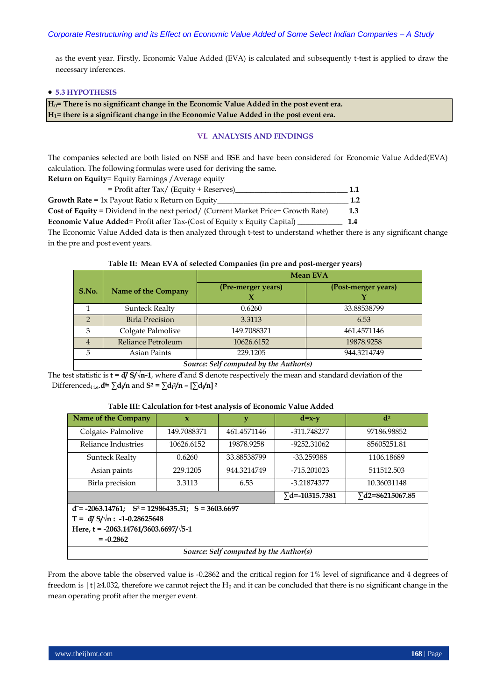as the event year. Firstly, Economic Value Added (EVA) is calculated and subsequently t-test is applied to draw the necessary inferences.

### **5.3 HYPOTHESIS**

**H0= There is no significant change in the Economic Value Added in the post event era. H1= there is a significant change in the Economic Value Added in the post event era.**

### **VI. ANALYSIS AND FINDINGS**

The companies selected are both listed on NSE and BSE and have been considered for Economic Value Added(EVA) calculation. The following formulas were used for deriving the same.

**Return on Equity**= Equity Earnings /Average equity

| $=$ Profit after Tax/ (Equity + Reserves)                                                   | 1.1 |
|---------------------------------------------------------------------------------------------|-----|
| <b>Growth Rate</b> = $1x$ Payout Ratio x Return on Equity                                   | 1.2 |
| Cost of Equity = Dividend in the next period/ (Current Market Price+ Growth Rate) _____ 1.3 |     |

**Economic Value Added**= Profit after Tax-(Cost of Equity x Equity Capital) \_\_\_\_\_\_\_\_\_\_\_\_ **1.4**

The Economic Value Added data is then analyzed through t-test to understand whether there is any significant change in the pre and post event years.

**Table II: Mean EVA of selected Companies (in pre and post-merger years)**

|                                        |                            | <b>Mean EVA</b>    |                     |  |  |  |
|----------------------------------------|----------------------------|--------------------|---------------------|--|--|--|
| S.No.                                  | <b>Name of the Company</b> | (Pre-merger years) | (Post-merger years) |  |  |  |
|                                        | <b>Sunteck Realty</b>      | 0.6260             | 33.88538799         |  |  |  |
| C                                      | <b>Birla Precision</b>     | 3.3113             | 6.53                |  |  |  |
| 3                                      | Colgate Palmolive          | 149.7088371        | 461.4571146         |  |  |  |
| 4                                      | Reliance Petroleum         | 10626.6152         | 19878.9258          |  |  |  |
| 5                                      | Asian Paints               | 229.1205           | 944.3214749         |  |  |  |
| Source: Self computed by the Author(s) |                            |                    |                     |  |  |  |

The test statistic is  $\mathbf{t} = d\mathbf{y}$   $\mathbf{y}/n\mathbf{1}$ , where  $\mathbf{d}$  and  $\mathbf{S}$  denote respectively the mean and standard deviation of the Differenced<sub>i i.e</sub>.d =  $\sum$ d<sub>i</sub> $\ln$  and S<sup>2</sup> =  $\sum$ d<sub>i</sub> $\ln$  –  $[\sum$ d<sub>i</sub> $\ln$ ]<sup>2</sup>

**Table III: Calculation for t-test analysis of Economic Value Added**

| Name of the Company                                       | $\mathbf{x}$ | y                       | $d=x-y$                 | d <sup>2</sup> |  |  |  |  |  |
|-----------------------------------------------------------|--------------|-------------------------|-------------------------|----------------|--|--|--|--|--|
| Colgate-Palmolive                                         | 149.7088371  | 461.4571146             | -311.748277             | 97186.98852    |  |  |  |  |  |
| Reliance Industries                                       | 10626.6152   | 19878.9258              | $-9252.31062$           | 85605251.81    |  |  |  |  |  |
| <b>Sunteck Realty</b>                                     | 0.6260       | 33.88538799             | -33.259388              | 1106.18689     |  |  |  |  |  |
| Asian paints                                              | 229.1205     | 944.3214749             | $-715.201023$           | 511512.503     |  |  |  |  |  |
| Birla precision                                           | 3.3113       | 6.53                    | -3.21874377             | 10.36031148    |  |  |  |  |  |
|                                                           |              | $\sqrt{d}$ =-10315.7381 | $\Sigma$ d2=86215067.85 |                |  |  |  |  |  |
| $d = -2063.14761$ ; $S^2 = 12986435.51$ ; $S = 3603.6697$ |              |                         |                         |                |  |  |  |  |  |
| $T = dJ S/\sqrt{n}$ : -1-0.28625648                       |              |                         |                         |                |  |  |  |  |  |
| Here, t = -2063.14761/3603.6697/ $\sqrt{5}$ -1            |              |                         |                         |                |  |  |  |  |  |
| $= -0.2862$                                               |              |                         |                         |                |  |  |  |  |  |
| Source: Self computed by the Author(s)                    |              |                         |                         |                |  |  |  |  |  |

From the above table the observed value is -0.2862 and the critical region for 1% level of significance and 4 degrees of freedom is  $|t| \ge 4.032$ , therefore we cannot reject the H<sub>0</sub> and it can be concluded that there is no significant change in the mean operating profit after the merger event.